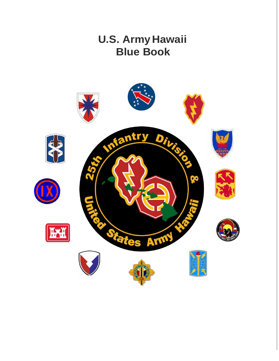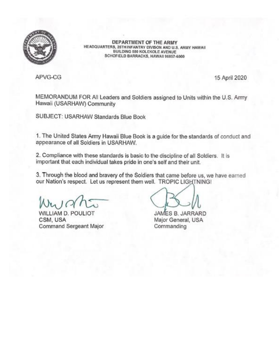

DEPARTMENT OF THE ARMY HEADQUARTERS, 25TH INFANTRY DIVISON AND U.S. ARMY HAWAII BUILDING 580 KOLEKOLE AVENUE SCHOFIELD BARRACKS, HAWAII 96857-6000

APVG-CG

15 April 2020

MEMORANDUM FOR All Leaders and Soldiers assigned to Units within the U.S. Army Hawaii (USARHAW) Community

SUBJECT: USARHAW Standards Blue Book

1. The United States Army Hawaii Blue Book is a guide for the standards of conduct and appearance of all Soldiers in USARHAW.

2. Compliance with these standards is basic to the discipline of all Soldiers. It is important that each individual takes pride in one's self and their unit.

3. Through the blood and bravery of the Soldiers that came before us, we have earned our Nation's respect. Let us represent them well. TROPIC LIGHTNING!

WILLIAM D. POULIOT CSM, USA Command Sergeant Major

JAMES B. JARRARD Major General, USA Commanding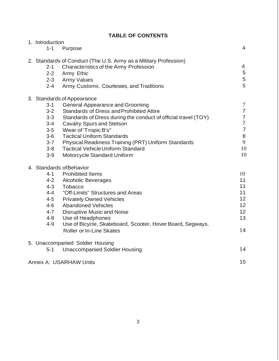| 1. Introduction                                                                                 |                                                                                                                                                                                                                                                                                                                                                                                                                              |                                                                                                            |
|-------------------------------------------------------------------------------------------------|------------------------------------------------------------------------------------------------------------------------------------------------------------------------------------------------------------------------------------------------------------------------------------------------------------------------------------------------------------------------------------------------------------------------------|------------------------------------------------------------------------------------------------------------|
| $1 - 1$                                                                                         | Purpose                                                                                                                                                                                                                                                                                                                                                                                                                      | $\overline{4}$                                                                                             |
| $2 - 1$<br>$2 - 2$<br>$2 - 4$                                                                   | 2. Standards of Conduct (The U.S. Army as a Military Profession)<br>Characteristics of the Army Profession<br>Army Ethic<br>2-3 Army Values<br>Army Customs, Courtesies, and Traditions                                                                                                                                                                                                                                      | $\overline{4}$<br>$\overline{5}$<br>5<br>5                                                                 |
| $3 - 1$<br>$3 - 2$<br>$3 - 3$<br>$3 - 4$<br>$3-5$<br>$3-6$<br>$3 - 7$<br>$3 - 8$<br>$3-9$       | 3. Standards of Appearance<br><b>General Appearance and Grooming</b><br><b>Standards of Dress and Prohibited Attire</b><br>Standards of Dress during the conduct of official travel (TOY)<br><b>Cavalry Spurs and Stetson</b><br>Wear of 'Tropic B's"<br><b>Tactical Uniform Standards</b><br>Physical Readiness Training (PRT) Uniform Standards<br><b>Tactical Vehicle Uniform Standard</b><br>Motorcycle Standard Uniform | $\tau$<br>$\overline{7}$<br>$\overline{7}$<br>$\overline{7}$<br>$\overline{7}$<br>$\,8\,$<br>9<br>10<br>10 |
| $4 - 1$<br>$4 - 2$<br>$4 - 3$<br>$4 - 4$<br>$4 - 5$<br>$4 - 6$<br>$4 - 7$<br>$4 - 8$<br>$4 - 9$ | 4. Standards of Behavior<br><b>Prohibited Items</b><br><b>Alcoholic Beverages</b><br>Tobacco<br>"Off-Limits" Structures and Areas<br><b>Privately Owned Vehicles</b><br><b>Abandoned Vehicles</b><br><b>Disruptive Music and Noise</b><br>Use of Headphones<br>Use of Bicycle, Skateboard, Scooter, Hover Board, Segways,<br><b>Roller or In-Line Skates</b>                                                                 | 10<br>11<br>11<br>11<br>12<br>12<br>12<br>13<br>14                                                         |
| $5 - 1$                                                                                         | 5. Unaccompanied Soldier Housing<br><b>Unaccompanied Soldier Housing</b>                                                                                                                                                                                                                                                                                                                                                     | 14                                                                                                         |
|                                                                                                 | <b>Annex A: USARHAW Units</b>                                                                                                                                                                                                                                                                                                                                                                                                | 15                                                                                                         |

# **TABLE OF CONTENTS**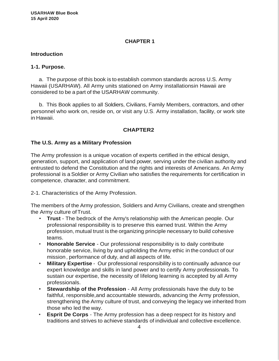### **CHAPTER 1**

#### **Introduction**

#### **1-1. Purpose.**

a. The purpose of this book is to establish common standards across U.S. Army Hawaii (USARHAW). All Army units stationed on Army installationsin Hawaii are considered to be a part of the USARHAW community.

b. This Book applies to all Soldiers, Civilians, Family Members, contractors, and other personnel who work on, reside on, or visit any U.S. Army installation, facility, or work site in Hawaii.

### **CHAPTER2**

#### **The U.S. Army as a Military Profession**

The Army profession is a unique vocation of experts certified in the ethical design, generation, support, and application of land power, serving under the civilian authority and entrusted to defend the Constitution and the rights and interests of Americans. An Army professional is a Soldier or Army Civilian who satisfies the requirements for certification in competence, character, and commitment.

2-1. Characteristics of the Army Profession.

The members of the Army profession, Soldiers and Army Civilians, create and strengthen the Army culture ofTrust.

- **Trust**  The bedrock of the Army's relationship with the American people. Our professional responsibility is to preserve this earned trust. Within the Army profession, mutual trust is the organizing principle necessary to build cohesive teams.
- **Honorable Service**  Our professional responsibility is to daily contribute honorable service, living by and upholding the Army ethic in the conduct of our mission, performance of duty, and all aspects of life.
- **Military Expertise** Our professional responsibility is to continually advance our expert knowledge and skills in land power and to certify Army professionals. To sustain our expertise, the necessity of lifelong learning is accepted by all Army professionals.
- **Stewardship of the Profession**  All Army professionals have the duty to be faithful, responsible,and accountable stewards, advancing the Army profession, strengthening the Army culture of trust, and conveying the legacy we inherited from those who led the way.
- **Esprit De Corps**  The Army profession has a deep respect for its history and traditions and strives to achieve standards of individual and collective excellence.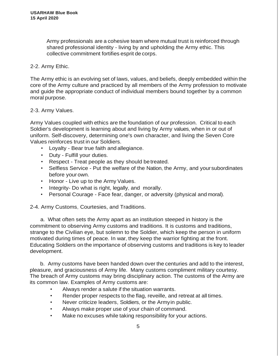Army professionals are a cohesive team where mutual trust is reinforced through shared professional identity - living by and upholding the Army ethic. This collective commitment fortifies esprit de corps.

### 2-2. Army Ethic.

The Army ethic is an evolving set of laws, values, and beliefs, deeply embedded within the core of the Army culture and practiced by all members of the Army profession to motivate and guide the appropriate conduct of individual members bound together by a common moral purpose.

### 2-3. Army Values.

Army Values coupled with ethics are the foundation of our profession. Critical to each Soldier's development is learning about and living by Army values, when in or out of uniform. Self-discovery, determining one's own character, and living the Seven Core Values reinforces trust in our Soldiers.

- Loyalty Bear true faith and allegiance.
- Duty Fulfill your duties.
- Respect Treat people as they should be treated.
- Selfless Service Put the welfare of the Nation, the Army, and yoursubordinates before your own.
- Honor Live up to the Army Values.
- Integrity- Do what is right, legally, and morally.
- Personal Courage Face fear, danger, or adversity (physical and moral).

2-4. Army Customs, Courtesies, and Traditions.

a. What often sets the Army apart as an institution steeped in history is the commitment to observing Army customs and traditions. It is customs and traditions, strange to the Civilian eye, but solemn to the Soldier, which keep the person in uniform motivated during times of peace. In war, they keep the warrior fighting at the front. Educating Soldiers on the importance of observing customs and traditions is key to leader development.

b. Army customs have been handed down over the centuries and add to the interest, pleasure, and graciousness of Army life. Many customs compliment military courtesy. The breach of Army customs may bring disciplinary action. The customs of the Army are its common law. Examples of Army customs are:

- Always render a salute if the situation warrants.
- Render proper respects to the flag, reveille, and retreat at all times.
- Never criticize leaders, Soldiers, or the Armyin public.
- Always make proper use of your chain of command.
- Make no excuses while taking responsibility for your actions.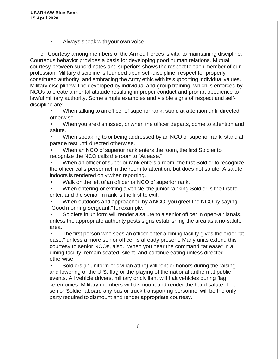• Always speak with your own voice.

c. Courtesy among members of the Armed Forces is vital to maintaining discipline. Courteous behavior provides a basis for developing good human relations. Mutual courtesy between subordinates and superiors shows the respect to each member of our profession. Military discipline is founded upon self-discipline, respect for properly constituted authority, and embracing the Army ethic with its supporting individual values. Military disciplinewill be developed by individual and group training, which is enforced by NCOs to create a mental attitude resulting in proper conduct and prompt obedience to lawful military authority. Some simple examples and visible signs of respect and selfdiscipline are:

• When talking to an officer of superior rank, stand at attention until directed otherwise.

• When you are dismissed, or when the officer departs, come to attention and salute.

• When speaking to or being addressed by an NCO of superior rank, stand at parade rest until directed otherwise.

• When an NCO of superior rank enters the room, the first Soldier to recognize the NCO calls the room to "At ease."

• When an officer of superior rank enters a room, the first Soldier to recognize the officer calls personnel in the room to attention, but does not salute. A salute indoors is rendered only when reporting.

- Walk on the left of an officer or NCO of superior rank.
- When entering or exiting a vehicle, the junior ranking Soldier is the first to enter, and the senior in rank is the first to exit.

• When outdoors and approached by a NCO, you greet the NCO by saying, "Good morning Sergeant," for example.

• Soldiers in uniform will render a salute to a senior officer in open-air lanais, unless the appropriate authority posts signs establishing the area as a no-salute area.

• The first person who sees an officer enter a dining facility gives the order "at ease," unless a more senior officer is already present. Many units extend this courtesy to senior NCOs, also. When you hear the command "at ease" in a dining facility, remain seated, silent, and continue eating unless directed otherwise.

• Soldiers (in uniform or civilian attire) will render honors during the raising and lowering of the U.S. flag or the playing of the national anthem at public events. All vehicle drivers, military or civilian, will halt vehicles during flag ceremonies. Military members will dismount and render the hand salute. The senior Soldier aboard any bus or truck transporting personnel will be the only party required to dismount and render appropriate courtesy.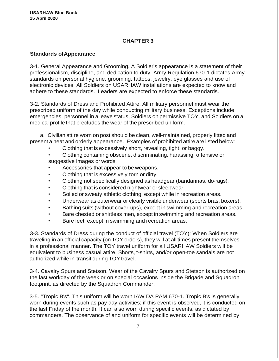### **CHAPTER 3**

### **Standards ofAppearance**

3-1. General Appearance and Grooming. A Soldier's appearance is a statement of their professionalism, discipline, and dedication to duty. Army Regulation 670-1 dictates Army standards on personal hygiene, grooming, tattoos, jewelry, eye glasses and use of electronic devices. All Soldiers on USARHAW installations are expected to know and adhere to these standards. Leaders are expected to enforce these standards.

3-2. Standards of Dress and Prohibited Attire. All military personnel must wear the prescribed uniform of the day while conducting military business. Exceptions include emergencies, personnel in a leave status, Soldiers on permissive TOY, and Soldiers on a medical profile that precludes the wear of the prescribed uniform.

a. Civilian attire worn on post should be clean, well-maintained, properly fitted and present a neat and orderly appearance. Examples of prohibited attire are listed below:

- Clothing that is excessively short, revealing, tight, or baggy.
- Clothing containing obscene, discriminating, harassing, offensive or suggestive images or words.
- Accessories that appear to be weapons.
- Clothing that is excessively torn or dirty.
- Clothing not specifically designed as headgear (bandannas, do-rags).
- Clothing that is considered nightwear or sleepwear.
- Soiled or sweaty athletic clothing, except while in recreation areas.
- Underwear as outerwear or clearly visible underwear (sports bras, boxers).
- Bathing suits (without cover-ups), except in swimming and recreation areas.
- Bare chested or shirtless men, except in swimming and recreation areas.
- Bare feet, except in swimming and recreation areas.

3-3. Standards of Dress during the conduct of official travel (TOY): When Soldiers are traveling in an official capacity (on TOY orders), they will at all times present themselves in a professional manner. The TOY travel uniform for all USARHAW Soldiers will be equivalent to business casual attire. Shorts, t-shirts, and/or open-toe sandals are not authorized while in-transit during TOY travel.

3-4. Cavalry Spurs and Stetson. Wear of the Cavalry Spurs and Stetson is authorized on the last workday of the week or on special occasions inside the Brigade and Squadron footprint, as directed by the Squadron Commander.

3-5. "Tropic B's". This uniform will be worn IAW DA PAM 670-1. Tropic B's is generally worn during events such as pay day activities; if this event is observed, it is conducted on the last Friday of the month. It can also worn during specific events, as dictated by commanders. The observance of and uniform for specific events will be determined by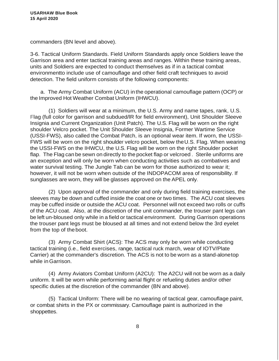commanders (BN level and above).

3-6. Tactical Uniform Standards. Field Uniform Standards apply once Soldiers leave the Garrison area and enter tactical training areas and ranges. Within these training areas, units and Soldiers are expected to conduct themselves as if in a tactical combat environmentto include use of camouflage and other field craft techniques to avoid detection. The field uniform consists of the following components:

a. The Army Combat Uniform (ACU) in the operational camouflage pattern (OCP) or the Improved Hot Weather Combat Uniform (IHWCU).

(1) Soldiers will wear at a minimum, the U.S. Army and name tapes, rank, U.S. Flag (full color for garrison and subdued/lR for field environment), Unit Shoulder Sleeve Insignia and Current Organization (Unit Patch). The U.S. Flag will be worn on the right shoulder Velcro pocket. The Unit Shoulder Sleeve Insignia, Former Wartime Service (USSI-FWS), also called the Combat Patch, is an optional wear item. If worn, the USSI-FWS will be worn on the right shoulder velcro pocket, below theU.S. Flag. When wearing the USSI-FWS on the IHWCU, the U.S. Flag will be worn on the right Shoulder pocket flap. The Flag can be sewn on directly to the pocket flap or velcroed . Sterile uniforms are an exception and will only be worn when conducting activities such as combatives and water survival testing. The Jungle Tab can be worn for those authorized to wear it; however, it will not be worn when outside of the INDOPACOM area of responsibility. If sunglasses are worn, they will be glasses approved on the APEL only.

(2) Upon approval of the commander and only during field training exercises, the sleeves may be down and cuffed inside the coat one or two times. The ACU coat sleeves may be cuffed inside or outside the ACU coat. Personnel will not exceed two rolls or cuffs of the ACU coat. Also, at the discretion of the unit commander, the trouser pant legs can be left un-bloused only while in a field or tactical environment. During Garrison operations the trouser pant legs must be bloused at all times and not extend below the 3rd eyelet from the top of theboot.

(3) Army Combat Shirt (ACS): The ACS may only be worn while conducting tactical training (i.e., field exercises, range, tactical ruck march, wear of IOTV/Plate Carrier) at the commander's discretion. The ACS is not to be worn as a stand-alonetop while inGarrison.

(4) Army Aviators Combat Uniform (A2CU): The A2CU will not be worn as a daily uniform. It will be worn while performing aerial flight or refueling duties and/or other specific duties at the discretion of the commander (BN and above).

(5) Tactical Uniform: There will be no wearing of tactical gear, camouflage paint, or combat shirts in the PX or commissary. Camouflage paint is authorized in the shoppettes.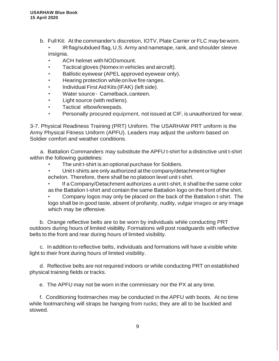b. Full Kit: At the commander's discretion, IOTV, Plate Carrier or FLC may beworn.

• IRflag/subdued flag, U.S. Army and nametape, rank, and shoulder sleeve insignia.

- ACH helmet with NODsmount.
- Tactical gloves (Nomex in vehicles and aircraft).
- Ballistic eyewear (APEL approved eyewear only).
- Hearing protection while on live fire ranges.
- Individual First Aid Kits (IFAK) (left side).
- Water source- Camelback,canteen.
- Light source (with redlens).
- Tactical elbow/kneepads.
- Personally procured equipment, not issued at CIF, is unauthorized for wear.

3-7. Physical Readiness Training (PRT) Uniform. The USARHAW PRT uniform is the Army Physical Fitness Uniform (APFU). Leaders may adjust the uniform based on Soldier comfort and weather conditions.

a. Battalion Commanders may substitute the APFU t-shirt for a distinctive unit t-shirt within the following guidelines:

- The unit t-shirt is an optional purchase for Soldiers.
- Unit t-shirts are only authorized at the company/detachmentor higher echelon. Therefore, there shall be no platoon level unit t-shirt.
- If a Company/Detachment authorizes a unit t-shirt, it shall be the same color as the Battalion t-shirt and contain the same Battalion logo on the front of the shirt.

• Company logos may only be placed on the back of the Battalion t-shirt. The logo shall be in good taste, absent of profanity, nudity, vulgar images or any image which may be offensive.

b. Orange reflective belts are to be worn by individuals while conducting PRT outdoors during hours of limited visibility. Formations will post roadguards with reflective belts to the front and rear during hours of limited visibility.

c. In addition to reflective belts, individuals and formations will have a visible white light to their front during hours of limited visibility.

d. Reflective belts are not required indoors or while conducting PRT on established physical training fields or tracks.

e. The APFU may not be worn in the commissary nor the PX at any time.

f. Conditioning footmarches may be conducted in the APFU with boots. At no time while footmarching will straps be hanging from rucks; they are all to be buckled and stowed.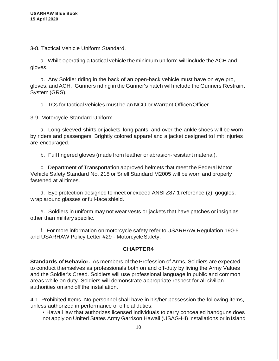3-8. Tactical Vehicle Uniform Standard.

a. While operating a tactical vehicle the minimum uniform will include the ACH and gloves.

b. Any Soldier riding in the back of an open-back vehicle must have on eye pro, gloves, and ACH. Gunners riding in the Gunner's hatch will include the Gunners Restraint System (GRS).

c. TCs for tactical vehicles must be an NCO or Warrant Officer/Officer.

3-9. Motorcycle Standard Uniform.

a. Long-sleeved shirts or jackets, long pants, and over-the-ankle shoes will be worn by riders and passengers. Brightly colored apparel and a jacket designed to limit injuries are encouraged.

b. Full fingered gloves (made from leather or abrasion-resistant material).

c. Department of Transportation approved helmets that meet the Federal Motor Vehicle Safety Standard No. 218 or Snell Standard M2005 will be worn and properly fastened at alltimes.

d. Eye protection designed to meet or exceed ANSI Z87.1 reference (z), goggles, wrap around glasses or full-face shield.

e. Soldiers in uniform may not wear vests or jackets that have patches or insignias other than militaryspecific.

f. For more information on motorcycle safety refer to USARHAW Regulation 190-5 and USARHAW Policy Letter #29 - MotorcycleSafety.

### **CHAPTER4**

**Standards of Behavior.** As members of the Profession of Arms, Soldiers are expected to conduct themselves as professionals both on and off-duty by living the Army Values and the Soldier's Creed. Soldiers will use professional language in public and common areas while on duty. Soldiers will demonstrate appropriate respect for all civilian authorities on and off the installation.

4-1. Prohibited Items. No personnel shall have in his/her possession the following items, unless authorized in performance of official duties:

• Hawaii law that authorizes licensed individuals to carry concealed handguns does not apply on United States Army Garrison Hawaii (USAG-HI) installations or in Island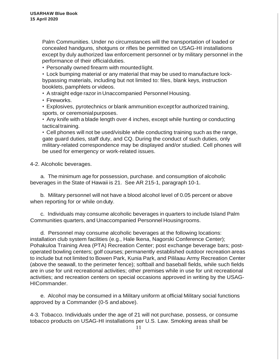Palm Communities. Under no circumstances will the transportation of loaded or concealed handguns, shotguns or rifles be permitted on USAG-HI installations except by duly authorized law enforcement personnel or by military personnel in the performance of their officialduties.

• Personally owned firearm with mounted light.

• Lock bumping material or any material that may be used to manufacture lockbypassing materials, including but not limited to: files, blank keys, instruction booklets, pamphlets or videos.

• A straight edge razor in Unaccompanied Personnel Housing.

• Fireworks.

• Explosives, pyrotechnics or blank ammunition exceptfor authorized training, sports, or ceremonialpurposes.

• Any knife with a blade length over 4 inches, except while hunting or conducting tactical training.

• Cell phones will not be used/visible while conducting training such as the range, gate guard duties, staff duty, and CQ. During the conduct of such duties, only military-related correspondence may be displayed and/or studied. Cell phones will be used for emergency or work-related issues.

4-2. Alcoholic beverages.

a. The minimum age for possession, purchase. and consumption of alcoholic beverages in the State of Hawaii is 21. See AR 215-1, paragraph 10-1.

b. Military personnel will not have a blood alcohol level of 0.05 percent or above when reporting for or while onduty.

c. Individuals may consume alcoholic beverages in quarters to include Island Palm Communities quarters, and Unaccompanied Personnel Housingrooms.

d. Personnel may consume alcoholic beverages at the following locations: installation club system facilities (e.g., Hale lkena, Nagorski Conference Center); Pohakuloa Training Area (PTA) Recreation Center; post exchange beverage bars; postoperated bowling centers; golf courses; permanently established outdoor recreation areas to include but not limited to Bowen Park, Kunia Park, and Pililaau Army Recreation Center (above the seawall, to the perimeter fence); softball and baseball fields, while such fields are in use for unit recreational activities; other premises while in use for unit recreational activities; and recreation centers on special occasions approved in writing by the USAG-HICommander.

e. Alcohol may be consumed in a Military uniform at official Military social functions approved by a Commander (0-5 andabove).

4-3. Tobacco. Individuals under the age of 21 will not purchase, possess, or consume tobacco products on USAG-HI installations per U.S. Law. Smoking areas shall be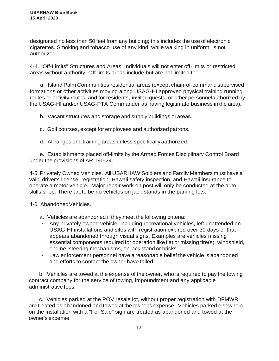designated no less than 50 feet from any building; this includes the use of electronic cigarettes. Smoking and tobacco use of any kind, while walking in uniform, is not authorized.

4-4. "Off-Limits" Structures and Areas. Individuals will not enter off-limits or restricted areas without authority. Off-limits areas include but are not limited to:

a. Island Palm Communities residential areas (except chain-of-command supervised formations or other activities moving along USAG-HI approved physical training running routes or activity routes, and for residents, invited guests, or other personnelauthorized by the USAG-HI and/or USAG-PTA Commander as having legitimate business in the area).

b. Vacant structures and storage and supply buildings orareas.

c. Golf courses, except for employees and authorizedpatrons.

d. Allranges and training areas unless specifically authorized.

e. Establishments placed off-limits by the Armed Forces Disciplinary Control Board under the provisions of AR 190-24.

4-5. Privately Owned Vehicles. All USARHAW Soldiers and Family Members must have a valid driver's license, registration, Hawaii safety inspection, and Hawaii insurance to operate a motor vehicle. Major repair work on post will only be conducted at the auto skills shop. There areto be no vehicles on jack-stands in the parking lots.

4-6. AbandonedVehicles.

- a. Vehicles are abandoned if they meet the following criteria:
- Any privately owned vehicle, including recreational vehicles, left unattended on USAG-HI installations and sites with registration expired over 30 days or that appears abandoned through visual signs. Examples are vehicles missing essential components required for operation like flat or missing tire(s), windshield, engine, steering mechanisms, on jack stand or bricks.
- Law enforcement personnel have a reasonable belief the vehicle is abandoned and efforts to contact the owner have failed.

b. Vehicles are towed at the expense of the owner, who is required to pay the towing contract company for the service of towing, impoundment and any applicable administrative fees.

c. Vehicles parked at the POV resale lot, without proper registration with DFMWR, are treated as abandoned and towed at the owner's expense. Vehicles parked elsewhere on the installation with a "For Sale" sign are treated as abandoned and towed at the owner's expense.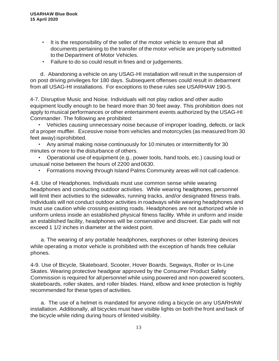- It is the responsibility of the seller of the motor vehicle to ensure that all documents pertaining to the transfer of the motor vehicle are properly submitted to the Department of Motor Vehicles.
- Failure to do so could result in fines and or judgements.

d. Abandoning a vehicle on any USAG-HI installation will result in the suspension of on post driving privileges for 180 days. Subsequent offenses could result in debarment from all USAG-HI installations. For exceptions to these rules see USARHAW 190-5.

4-7. Disruptive Music and Noise. Individuals will not play radios and other audio equipment loudly enough to be heard more than 30 feet away. This prohibition does not apply to musical performances or other entertainment events authorized by the USAG-HI Commander. The following are prohibited:

• Vehicles causing unnecessary noise because of improper loading, defects, or lack of a proper muffler. Excessive noise from vehicles and motorcycles (as measured from 30 feet away) isprohibited.

• Any animal making noise continuously for 10 minutes or intermittently for 30 minutes or more to the disturbance of others.

• Operational use of equipment (e.g., power tools, hand tools, etc.) causing loud or unusual noise between the hours of 2200 and0630.

• Formations moving through Island Palms Community areas will not call cadence.

4-8. Use of Headphones. Individuals must use common sense while wearing headphones and conducting outdoor activities. While wearing headphones, personnel will limit their activities to the sidewalks, running tracks, and/or designated fitness trails. Individuals will not conduct outdoor activities in roadways while wearing headphones and must use caution while crossing existing roads. Headphones are not authorized while in uniform unless inside an established physical fitness facility. While in uniform and inside an established facility, headphones will be conservative and discreet. Ear pads will not exceed 1 1/2 inches in diameter at the widest point.

a. The wearing of any portable headphones, earphones or other listening devices while operating a motor vehicle is prohibited with the exception of hands free cellular phones.

4-9. Use of Bicycle, Skateboard, Scooter, Hover Boards, Segways, Roller or In-Line Skates. Wearing protective headgear approved by the Consumer Product Safety Commission is required for all personnel while using powered and non-powered scooters, skateboards, roller skates, and roller blades. Hand, elbow and knee protection is highly recommended for these types of activities.

a. The use of a helmet is mandated for anyone riding a bicycle on any USARHAW installation. Additionally, all bicycles must have visible lights on both the front and back of the bicycle while riding during hours of limited visibility.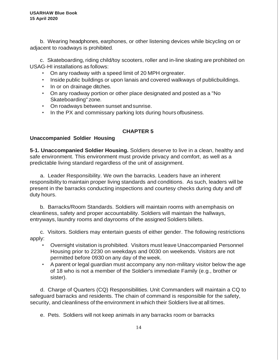b. Wearing headphones, earphones, or other listening devices while bicycling on or adjacent to roadways is prohibited.

c. Skateboarding, riding child/toy scooters, roller and in-line skating are prohibited on USAG-HI installations as follows:

- On any roadway with a speed limit of 20 MPH orgreater.
- Inside public buildings or upon lanais and covered walkways of publicbuildings.
- In or on drainage ditches.
- On any roadway portion or other place designated and posted as a "No Skateboarding" zone.
- On roadways between sunset andsunrise.
- In the PX and commissary parking lots during hours ofbusiness.

# **CHAPTER 5**

### **Unaccompanied Soldier Housing**

**5-1. Unaccompanied Soldier Housing.** Soldiers deserve to live in a clean, healthy and safe environment. This environment must provide privacy and comfort, as well as a predictable living standard regardless of the unit of assignment.

a. Leader Responsibility. We own the barracks. Leaders have an inherent responsibility to maintain proper living standards and conditions. As such, leaders will be present in the barracks conducting inspections and courtesy checks during duty and off duty hours.

b. Barracks/Room Standards. Soldiers will maintain rooms with anemphasis on cleanliness, safety and proper accountability. Soldiers will maintain the hallways, entryways, laundry rooms and dayrooms of the assigned Soldiers billets.

c. Visitors. Soldiers may entertain guests of either gender. The following restrictions apply:

- Overnight visitation is prohibited. Visitors must leave Unaccompanied Personnel Housing prior to 2230 on weekdays and 0030 on weekends. Visitors are not permitted before 0930 on any day of the week.
- A parent or legal guardian must accompany any non-military visitor below the age of 18 who is not a member of the Soldier's immediate Family (e.g., brother or sister).

d. Charge of Quarters (CQ) Responsibilities. Unit Commanders will maintain a CQ to safeguard barracks and residents. The chain of command is responsible for the safety, security, and cleanliness of the environment inwhich their Soldiers live at all times.

e. Pets. Soldiers will not keep animals in any barracks room or barracks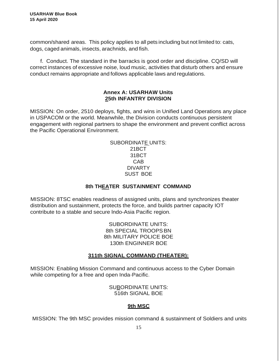common/shared areas. This policy applies to all pets including but not limited to: cats, dogs, caged animals, insects, arachnids, and fish.

f. Conduct. The standard in the barracks is good order and discipline. CQ/SD will correct instances of excessive noise, loud music, activities that disturb others and ensure conduct remains appropriate and follows applicable laws and regulations.

### **Annex A: USARHAW Units 25th INFANTRY DIVISION**

MISSION: On order, 2510 deploys, fights, and wins in Unified Land Operations any place in USPACOM or the world. Meanwhile, the Division conducts continuous persistent engagement with regional partners to shape the environment and prevent conflict across the Pacific Operational Environment.

| <b>SUBORDINATE UNITS:</b> |
|---------------------------|
| 21BCT                     |
| 31BCT                     |
| CAB                       |
| DIVARTY                   |
| SUST BOF                  |

### **8th THEATER SUSTAINMENT COMMAND**

MISSION: 8TSC enables readiness of assigned units, plans and synchronizes theater distribution and sustainment, protects the force, and builds partner capacity IOT contribute to a stable and secure lndo-Asia Pacific region.

> SUBORDINATE UNITS: 8th SPECIAL TROOPSBN 8th MILITARY POLICE BOE 130th ENGINNER BOE

# **311th SIGNAL COMMAND (THEATER):**

MISSION: Enabling Mission Command and continuous access to the Cyber Domain while competing for a free and open Inda-Pacific.

> SUBORDINATE UNITS: 516th SIGNAL BOE

# **9th MSC**

MISSION: The 9th MSC provides mission command & sustainment of Soldiers and units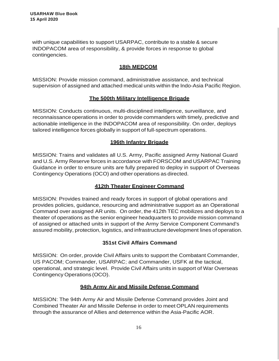with unique capabilities to support USARPAC, contribute to a stable & secure INDOPACOM area of responsibility, & provide forces in response to global contingencies.

### **18th MEDCOM**

MISSION: Provide mission command, administrative assistance, and technical supervision of assigned and attached medical units within the lndo-Asia Pacific Region.

### **The 500th Military Intelligence Brigade**

MISSION: Conducts continuous, multi-disciplined intelligence, surveillance, and reconnaissance operations in order to provide commanders with timely, predictive and actionable intelligence in the INDOPACOM area of responsibility. On order, deploys tailored intelligence forces globally in support of full-spectrum operations.

### **196th Infantry Brigade**

MISSION: Trains and validates all U.S. Army, Pacific assigned Army National Guard and U.S. Army Reserve forces in accordance with FORSCOM and USARPAC Training Guidance in order to ensure units are fully prepared to deploy in support of Overseas Contingency Operations (OCO) and other operations as directed.

### **412th Theater Engineer Command**

MISSION: Provides trained and ready forces in support of global operations and provides policies, guidance, resourcing and administrative support as an Operational Command over assigned AR units. On order, the 412th TEC mobilizes and deploys to a theater of operations as the senior engineer headquarters to provide mission command of assigned or attached units in support of the Army Service Component Command's assured mobility, protection, logistics, and infrastructure development lines of operation.

# **351st Civil Affairs Command**

MISSION: On order, provide Civil Affairs units to support the Combatant Commander, US PACOM; Commander, USARPAC; and Commander, USFK at the tactical, operational, and strategic level. Provide Civil Affairs units in support of War Overseas Contingency Operations (OCO).

### **94th Army Air and Missile Defense Command**

MISSION: The 94th Army Air and Missile Defense Command provides Joint and Combined Theater Air and Missile Defense in order to meet OPLAN requirements through the assurance of Allies and deterrence within the Asia-Pacific AOR.